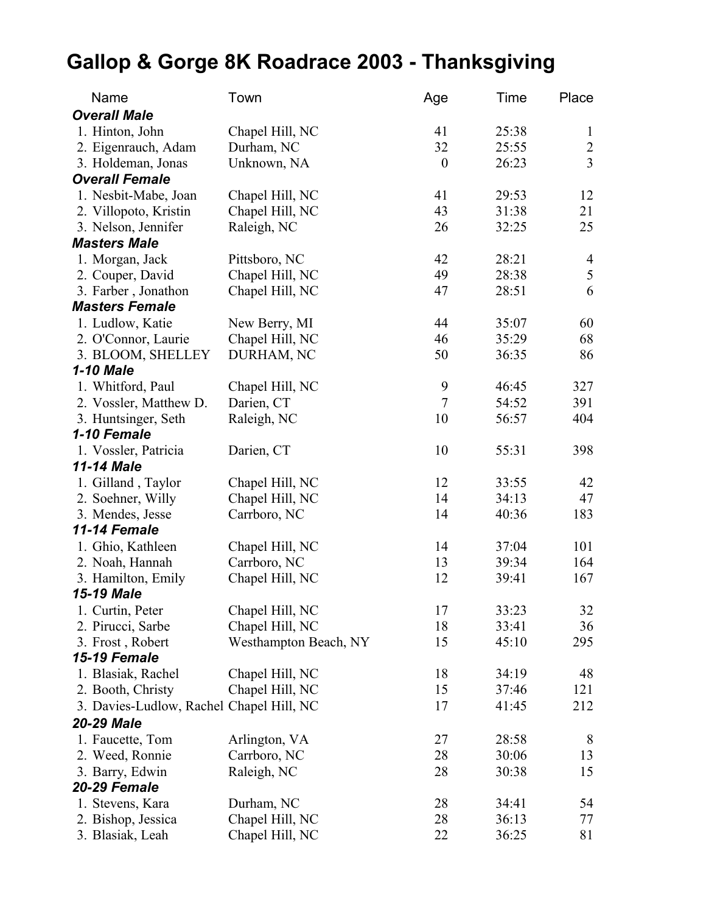## **Gallop & Gorge 8K Roadrace 2003 - Thanksgiving**

| Name                                     | Town                  | Age              | Time  | Place          |
|------------------------------------------|-----------------------|------------------|-------|----------------|
| <b>Overall Male</b>                      |                       |                  |       |                |
| 1. Hinton, John                          | Chapel Hill, NC       | 41               | 25:38 | $\mathbf{1}$   |
| 2. Eigenrauch, Adam                      | Durham, NC            | 32               | 25:55 | $\overline{c}$ |
| 3. Holdeman, Jonas                       | Unknown, NA           | $\boldsymbol{0}$ | 26:23 | $\overline{3}$ |
| <b>Overall Female</b>                    |                       |                  |       |                |
| 1. Nesbit-Mabe, Joan                     | Chapel Hill, NC       | 41               | 29:53 | 12             |
| 2. Villopoto, Kristin                    | Chapel Hill, NC       | 43               | 31:38 | 21             |
| 3. Nelson, Jennifer                      | Raleigh, NC           | 26               | 32:25 | 25             |
| <b>Masters Male</b>                      |                       |                  |       |                |
| 1. Morgan, Jack                          | Pittsboro, NC         | 42               | 28:21 | 4              |
| 2. Couper, David                         | Chapel Hill, NC       | 49               | 28:38 | 5              |
| 3. Farber, Jonathon                      | Chapel Hill, NC       | 47               | 28:51 | 6              |
| <b>Masters Female</b>                    |                       |                  |       |                |
| 1. Ludlow, Katie                         | New Berry, MI         | 44               | 35:07 | 60             |
| 2. O'Connor, Laurie                      | Chapel Hill, NC       | 46               | 35:29 | 68             |
| 3. BLOOM, SHELLEY                        | DURHAM, NC            | 50               | 36:35 | 86             |
| 1-10 Male                                |                       |                  |       |                |
| 1. Whitford, Paul                        | Chapel Hill, NC       | 9                | 46:45 | 327            |
| 2. Vossler, Matthew D.                   | Darien, CT            | $\overline{7}$   | 54:52 | 391            |
| 3. Huntsinger, Seth                      | Raleigh, NC           | 10               | 56:57 | 404            |
| 1-10 Female                              |                       |                  |       |                |
| 1. Vossler, Patricia                     | Darien, CT            | 10               | 55:31 | 398            |
| 11-14 Male                               |                       |                  |       |                |
| 1. Gilland, Taylor                       | Chapel Hill, NC       | 12               | 33:55 | 42             |
| 2. Soehner, Willy                        | Chapel Hill, NC       | 14               | 34:13 | 47             |
| 3. Mendes, Jesse                         | Carrboro, NC          | 14               | 40:36 | 183            |
| 11-14 Female                             |                       |                  |       |                |
| 1. Ghio, Kathleen                        | Chapel Hill, NC       | 14               | 37:04 | 101            |
| 2. Noah, Hannah                          | Carrboro, NC          | 13               | 39:34 | 164            |
| 3. Hamilton, Emily                       | Chapel Hill, NC       | 12               | 39:41 | 167            |
| 15-19 Male                               |                       |                  |       |                |
| 1. Curtin, Peter                         | Chapel Hill, NC       | 17               | 33:23 | 32             |
| 2. Pirucci, Sarbe                        | Chapel Hill, NC       | 18               | 33:41 | 36             |
| 3. Frost, Robert                         | Westhampton Beach, NY | 15               | 45:10 | 295            |
| <b>15-19 Female</b>                      |                       |                  |       |                |
| 1. Blasiak, Rachel                       | Chapel Hill, NC       | 18               | 34:19 | 48             |
| 2. Booth, Christy                        | Chapel Hill, NC       | 15               | 37:46 | 121            |
| 3. Davies-Ludlow, Rachel Chapel Hill, NC |                       | 17               | 41:45 | 212            |
| <b>20-29 Male</b>                        |                       |                  |       |                |
| 1. Faucette, Tom                         | Arlington, VA         | 27               | 28:58 | 8              |
| 2. Weed, Ronnie                          | Carrboro, NC          | 28               | 30:06 | 13             |
| 3. Barry, Edwin                          | Raleigh, NC           | 28               | 30:38 | 15             |
| 20-29 Female                             |                       |                  |       |                |
| 1. Stevens, Kara                         | Durham, NC            | 28               | 34:41 | 54             |
| 2. Bishop, Jessica                       | Chapel Hill, NC       | 28               | 36:13 | 77             |
| 3. Blasiak, Leah                         | Chapel Hill, NC       | 22               | 36:25 | 81             |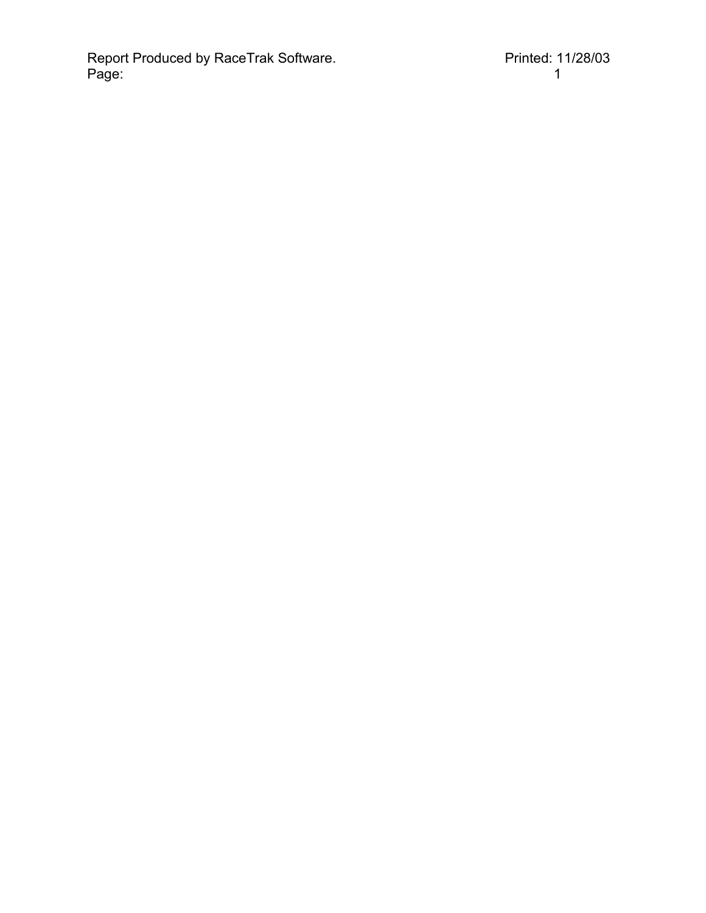Report Produced by RaceTrak Software. etc. And Printed: 11/28/03 Page:

Printed: 11/28/03